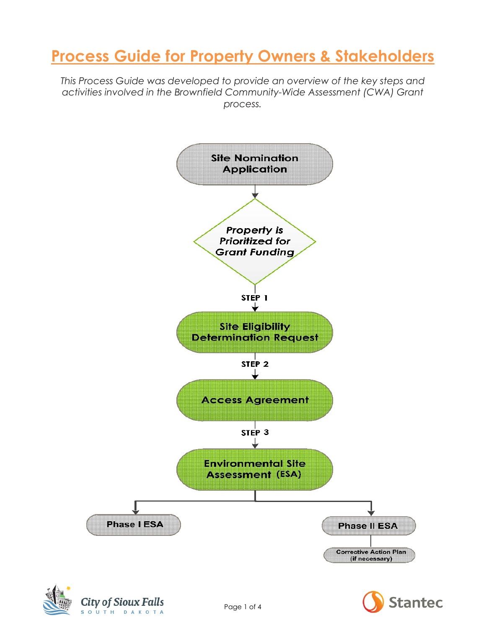# **Process Guide for Property Owners & Stakeholders**

*This Process Guide was developed to provide an overview of the key steps and activities involved in the Brownfield Community-Wide Assessment (CWA) Grant process.* 





City of Sioux Falls SOUTH DAKOTA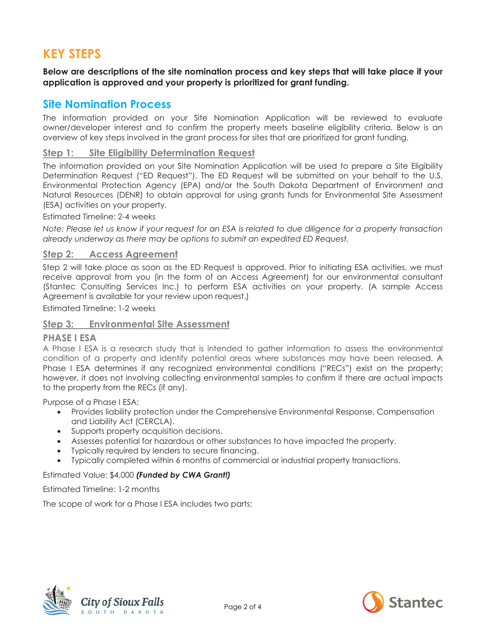### **KEY STEPS**

**Below are descriptions of the site nomination process and key steps that will take place if your application is approved and your property is prioritized for grant funding.** 

### **Site Nomination Process**

The information provided on your Site Nomination Application will be reviewed to evaluate owner/developer interest and to confirm the property meets baseline eligibility criteria. Below is an overview of key steps involved in the grant process for sites that are prioritized for grant funding.

#### **Step 1: Site Eligibility Determination Request**

The information provided on your Site Nomination Application will be used to prepare a Site Eligibility Determination Request ("ED Request"). The ED Request will be submitted on your behalf to the U.S. Environmental Protection Agency (EPA) and/or the South Dakota Department of Environment and Natural Resources (DENR) to obtain approval for using grants funds for Environmental Site Assessment (ESA) activities on your property.

#### Estimated Timeline: 2-4 weeks

*Note: Please let us know if your request for an ESA is related to due diligence for a property transaction already underway as there may be options to submit an expedited ED Request.* 

#### **Step 2: Access Agreement**

Step 2 will take place as soon as the ED Request is approved. Prior to initiating ESA activities, we must receive approval from you (in the form of an Access Agreement) for our environmental consultant (Stantec Consulting Services Inc.) to perform ESA activities on your property. (A sample Access Agreement is available for your review upon request.)

Estimated Timeline: 1-2 weeks

#### **Step 3: Environmental Site Assessment**

#### **PHASE I ESA**

A Phase I ESA is a research study that is intended to gather information to assess the environmental condition of a property and identify potential areas where substances may have been released. A Phase I ESA determines if any recognized environmental conditions ("RECs") exist on the property; however, it does not involving collecting environmental samples to confirm if there are actual impacts to the property from the RECs (if any).

Purpose of a Phase I ESA:

- Provides liability protection under the Comprehensive Environmental Response, Compensation and Liability Act (CERCLA).
- Supports property acquisition decisions.
- Assesses potential for hazardous or other substances to have impacted the property.
- Typically required by lenders to secure financing.
- Typically completed within 6 months of commercial or industrial property transactions.

#### Estimated Value: \$4,000 *(Funded by CWA Grant!)*

#### Estimated Timeline: 1-2 months

The scope of work for a Phase I ESA includes two parts:



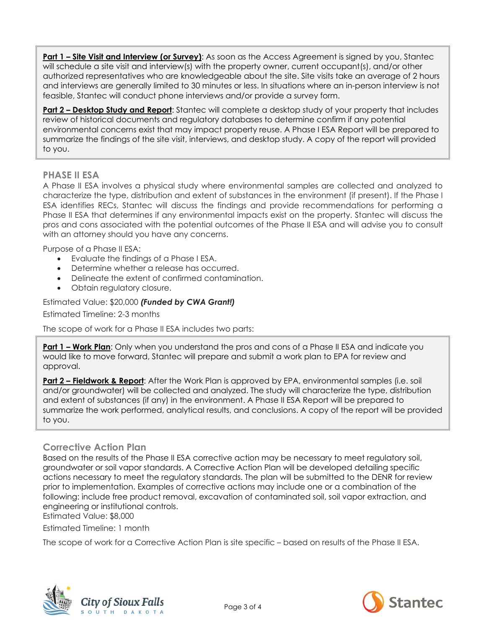**Part 1 – Site Visit and Interview (or Survey)**: As soon as the Access Agreement is signed by you, Stantec will schedule a site visit and interview(s) with the property owner, current occupant(s), and/or other authorized representatives who are knowledgeable about the site. Site visits take an average of 2 hours and interviews are generally limited to 30 minutes or less. In situations where an in-person interview is not feasible, Stantec will conduct phone interviews and/or provide a survey form.

**Part 2 – Desktop Study and Report**: Stantec will complete a desktop study of your property that includes review of historical documents and regulatory databases to determine confirm if any potential environmental concerns exist that may impact property reuse. A Phase I ESA Report will be prepared to summarize the findings of the site visit, interviews, and desktop study. A copy of the report will provided to you.

#### **PHASE II ESA**

A Phase II ESA involves a physical study where environmental samples are collected and analyzed to characterize the type, distribution and extent of substances in the environment (if present). If the Phase I ESA identifies RECs, Stantec will discuss the findings and provide recommendations for performing a Phase II ESA that determines if any environmental impacts exist on the property. Stantec will discuss the pros and cons associated with the potential outcomes of the Phase II ESA and will advise you to consult with an attorney should you have any concerns.

Purpose of a Phase II ESA:

- Evaluate the findings of a Phase I ESA.
- Determine whether a release has occurred.
- Delineate the extent of confirmed contamination.
- Obtain regulatory closure.

Estimated Value: \$20,000 *(Funded by CWA Grant!)* 

Estimated Timeline: 2-3 months

The scope of work for a Phase II ESA includes two parts:

**Part 1 – Work Plan:** Only when you understand the pros and cons of a Phase II ESA and indicate you would like to move forward, Stantec will prepare and submit a work plan to EPA for review and approval.

**Part 2 – Fieldwork & Report**: After the Work Plan is approved by EPA, environmental samples (i.e. soil and/or groundwater) will be collected and analyzed. The study will characterize the type, distribution and extent of substances (if any) in the environment. A Phase II ESA Report will be prepared to summarize the work performed, analytical results, and conclusions. A copy of the report will be provided to you.

#### **Corrective Action Plan**

Based on the results of the Phase II ESA corrective action may be necessary to meet regulatory soil, groundwater or soil vapor standards. A Corrective Action Plan will be developed detailing specific actions necessary to meet the regulatory standards. The plan will be submitted to the DENR for review prior to implementation. Examples of corrective actions may include one or a combination of the following: include free product removal, excavation of contaminated soil, soil vapor extraction, and engineering or institutional controls.

Estimated Value: \$8,000

Estimated Timeline: 1 month

The scope of work for a Corrective Action Plan is site specific – based on results of the Phase II ESA.